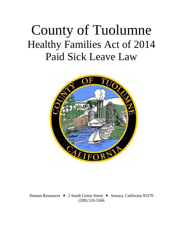## County of Tuolumne Healthy Families Act of 2014 Paid Sick Leave Law



Human Resources  $\div$  2 South Green Street  $\div$  Sonora, California 95370 (209) 533-5566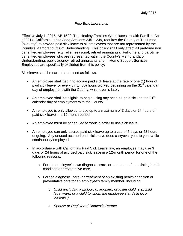## **PAID SICK LEAVE LAW**

Effective July 1, 2015, AB 1522, The Healthy Families Workplaces, Health Families Act of 2014, California Labor Code Sections 245 – 249, requires the County of Tuolumne ("County") to provide paid sick leave to all employees that are not represented by the County's Memorandums of Understanding. This policy shall only affect all part-time non benefitted employees (e.g. relief, seasonal, retired annuitants). Full-time and part-time benefitted employees who are represented within the County's Memoranda of Understanding, public agency retired annuitants and In-Home Support Services Employees are specifically excluded from this policy.

Sick leave shall be earned and used as follows.

- An employee shall begin to accrue paid sick leave at the rate of one (1) hour of paid sick leave for every thirty (30) hours worked beginning on the  $31^{st}$  calendar day of employment with the County, whichever is later.
- An employee shall be eligible to begin using any accrued paid sick on the  $91<sup>st</sup>$ calendar day of employment with the County.
- An employee is only allowed to use up to a maximum of 3 days or 24 hours of paid sick leave in a 12-month period.
- An employee must be scheduled to work in order to use sick leave.
- An employee can only accrue paid sick leave up to a cap of 6 days or 48 hours ongoing. Any unused accrued paid sick leave does carryover year to year while continuously employed.
- In accordance with California's Paid Sick Leave law, an employee may use 3 days or 24 hours of accrued paid sick leave in a 12-month period for one of the following reasons:
	- o For the employee's own diagnosis, care, or treatment of an existing health condition or preventative care.
	- o For the diagnosis, care, or treatment of an existing health condition or preventative care for an employee's family member, including:
		- o *Child (including a biological, adopted, or foster child, stepchild, legal ward, or a child to whom the employee stands in loco parentis.)*
		- o *Spouse or Registered Domestic Partner*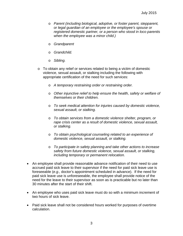- o *Parent (including biological, adoptive, or foster parent, stepparent, or legal guardian of an employee or the employee's spouse or registered domestic partner, or a person who stood in loco parentis when the employee was a minor child.)*
- o *Grandparent*
- o *Grandchild.*
- o *Sibling.*
- o To obtain any relief or services related to being a victim of domestic violence, sexual assault, or stalking including the following with appropriate certification of the need for such services:
	- o *A temporary restraining order or restraining order.*
	- o *Other injunctive relief to help ensure the health, safety or welfare of themselves or their children.*
	- o *To seek medical attention for injuries caused by domestic violence, sexual assault, or stalking.*
	- o *To obtain services from a domestic violence shelter, program, or rape crisis center as a result of domestic violence, sexual assault, or stalking.*
	- o *To obtain psychological counseling related to an experience of domestic violence, sexual assault, or stalking.*
	- o *To participate in safety planning and take other actions to increase safety from future domestic violence, sexual assault, or stalking, including temporary or permanent relocation.*
- An employee shall provide reasonable advance notification of their need to use accrued paid sick leave to their supervisor if the need for paid sick leave use is foreseeable (*e.g.,* doctor's appointment scheduled in advance). If the need for paid sick leave use is unforeseeable, the employee shall provide notice of the need for the leave to their supervisor as soon as is practicable but no later than 30 minutes after the start of their shift.
- An employee who uses paid sick leave must do so with a minimum increment of two hours of sick leave.
- Paid sick leave shall not be considered hours worked for purposes of overtime calculation.